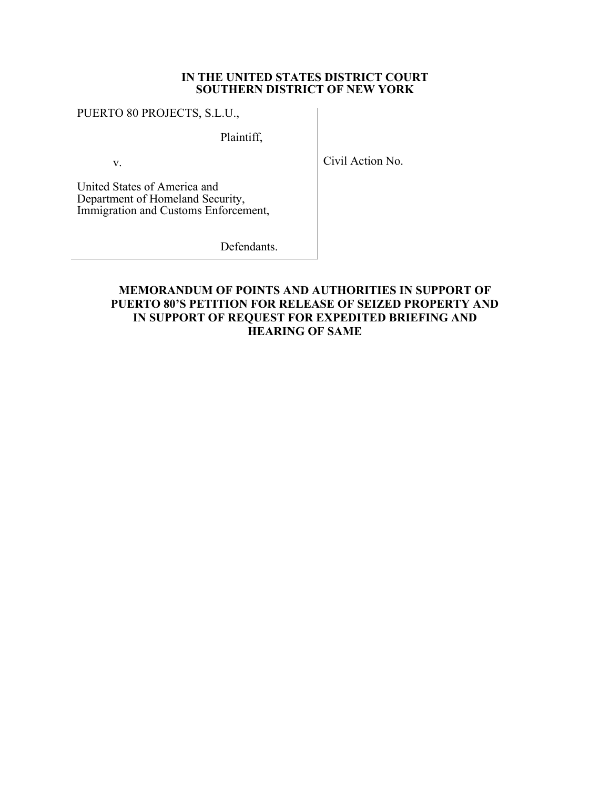## **IN THE UNITED STATES DISTRICT COURT SOUTHERN DISTRICT OF NEW YORK**

#### PUERTO 80 PROJECTS, S.L.U.,

Plaintiff,

v.

Civil Action No.

United States of America and Department of Homeland Security, Immigration and Customs Enforcement,

Defendants.

# **MEMORANDUM OF POINTS AND AUTHORITIES IN SUPPORT OF PUERTO 80'S PETITION FOR RELEASE OF SEIZED PROPERTY AND IN SUPPORT OF REQUEST FOR EXPEDITED BRIEFING AND HEARING OF SAME**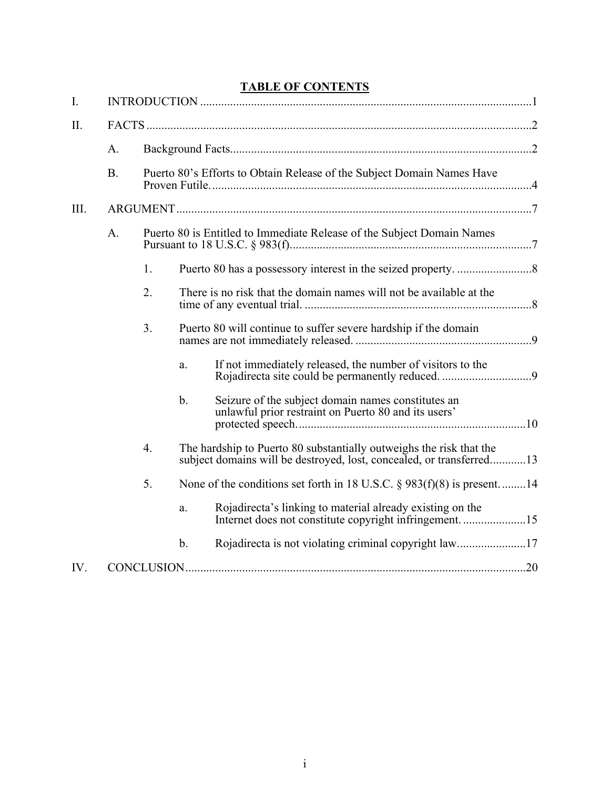# **TABLE OF CONTENTS**

| I.   |                |                                                                        |                                                                        |                                                                                                                                             |  |  |  |
|------|----------------|------------------------------------------------------------------------|------------------------------------------------------------------------|---------------------------------------------------------------------------------------------------------------------------------------------|--|--|--|
| II.  |                |                                                                        |                                                                        |                                                                                                                                             |  |  |  |
|      | A.             |                                                                        |                                                                        |                                                                                                                                             |  |  |  |
|      | B.             | Puerto 80's Efforts to Obtain Release of the Subject Domain Names Have |                                                                        |                                                                                                                                             |  |  |  |
| III. |                |                                                                        |                                                                        |                                                                                                                                             |  |  |  |
|      | A <sub>1</sub> |                                                                        | Puerto 80 is Entitled to Immediate Release of the Subject Domain Names |                                                                                                                                             |  |  |  |
|      |                | 1.                                                                     |                                                                        |                                                                                                                                             |  |  |  |
|      |                | 2.                                                                     |                                                                        | There is no risk that the domain names will not be available at the                                                                         |  |  |  |
|      |                | 3.                                                                     |                                                                        | Puerto 80 will continue to suffer severe hardship if the domain                                                                             |  |  |  |
|      |                |                                                                        | a.                                                                     | If not immediately released, the number of visitors to the<br>Rojadirecta site could be permanently reduced. 9                              |  |  |  |
|      |                |                                                                        | b.                                                                     | Seizure of the subject domain names constitutes an<br>unlawful prior restraint on Puerto 80 and its users'                                  |  |  |  |
|      |                | 4.                                                                     |                                                                        | The hardship to Puerto 80 substantially outweighs the risk that the<br>subject domains will be destroyed, lost, concealed, or transferred13 |  |  |  |
|      |                | 5.                                                                     |                                                                        | None of the conditions set forth in 18 U.S.C. $\S$ 983(f)(8) is present14                                                                   |  |  |  |
|      |                |                                                                        | a.                                                                     | Rojadirecta's linking to material already existing on the                                                                                   |  |  |  |
|      |                |                                                                        | $\mathbf b$ .                                                          |                                                                                                                                             |  |  |  |
| IV.  |                |                                                                        |                                                                        |                                                                                                                                             |  |  |  |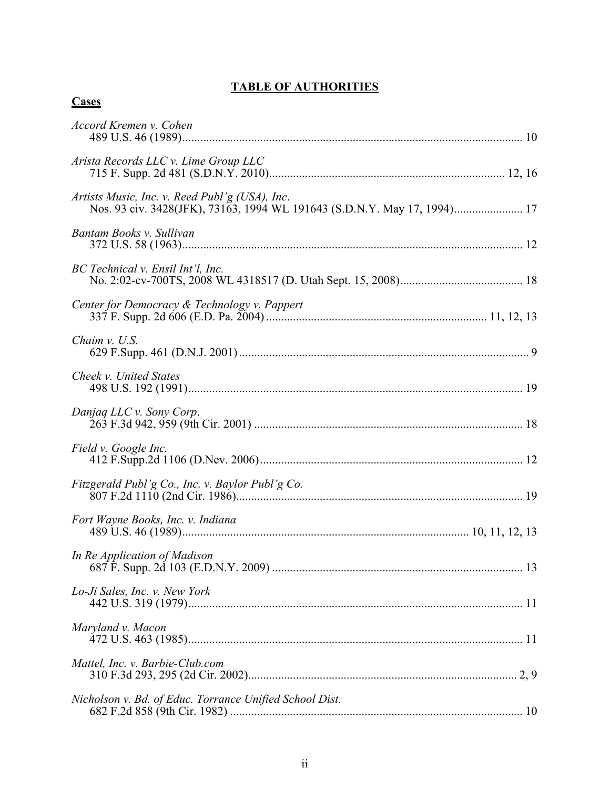# **TABLE OF AUTHORITIES**

| Accord Kremen v. Cohen                                                                                                     |
|----------------------------------------------------------------------------------------------------------------------------|
| Arista Records LLC v. Lime Group LLC                                                                                       |
| Artists Music, Inc. v. Reed Publ'g (USA), Inc.<br>Nos. 93 civ. 3428(JFK), 73163, 1994 WL 191643 (S.D.N.Y. May 17, 1994) 17 |
| Bantam Books v. Sullivan                                                                                                   |
| BC Technical v. Ensil Int'l, Inc.                                                                                          |
| Center for Democracy & Technology v. Pappert                                                                               |
| Chaim v. U.S.                                                                                                              |
| Cheek v. United States                                                                                                     |
| Danjag LLC v. Sony Corp.                                                                                                   |
| Field v. Google Inc.                                                                                                       |
|                                                                                                                            |
| Fort Wayne Books, Inc. v. Indiana                                                                                          |
| In Re Application of Madison                                                                                               |
| Lo-Ji Sales, Inc. v. New York                                                                                              |
| Maryland v. Macon                                                                                                          |
| Mattel, Inc. v. Barbie-Club.com                                                                                            |
| Nicholson v. Bd. of Educ. Torrance Unified School Dist.                                                                    |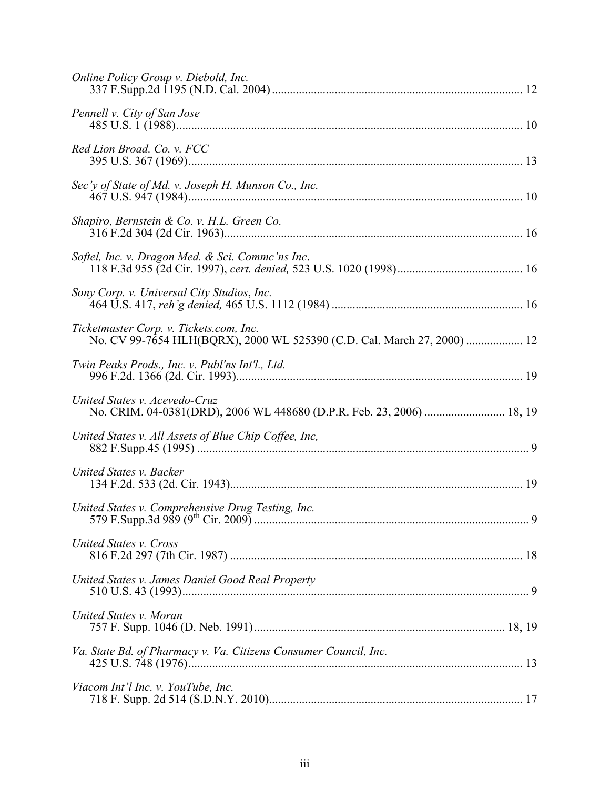| Online Policy Group v. Diebold, Inc.                                                                               |  |
|--------------------------------------------------------------------------------------------------------------------|--|
| Pennell v. City of San Jose                                                                                        |  |
| Red Lion Broad. Co. v. FCC                                                                                         |  |
| Sec'y of State of Md. v. Joseph H. Munson Co., Inc.                                                                |  |
|                                                                                                                    |  |
| Softel, Inc. v. Dragon Med. & Sci. Commc'ns Inc.                                                                   |  |
| Sony Corp. v. Universal City Studios, Inc.                                                                         |  |
| Ticketmaster Corp. v. Tickets.com, Inc.<br>No. CV 99-7654 HLH(BQRX), 2000 WL 525390 (C.D. Cal. March 27, 2000)  12 |  |
| Twin Peaks Prods., Inc. v. Publ'ns Int'l., Ltd.                                                                    |  |
| United States v. Acevedo-Cruz<br>No. CRIM. 04-0381(DRD), 2006 WL 448680 (D.P.R. Feb. 23, 2006)  18, 19             |  |
| United States v. All Assets of Blue Chip Coffee, Inc,                                                              |  |
| United States v. Backer                                                                                            |  |
|                                                                                                                    |  |
| United States v. Cross                                                                                             |  |
| United States v. James Daniel Good Real Property                                                                   |  |
| United States v. Moran                                                                                             |  |
| Va. State Bd. of Pharmacy v. Va. Citizens Consumer Council, Inc.                                                   |  |
| Viacom Int'l Inc. v. YouTube, Inc.                                                                                 |  |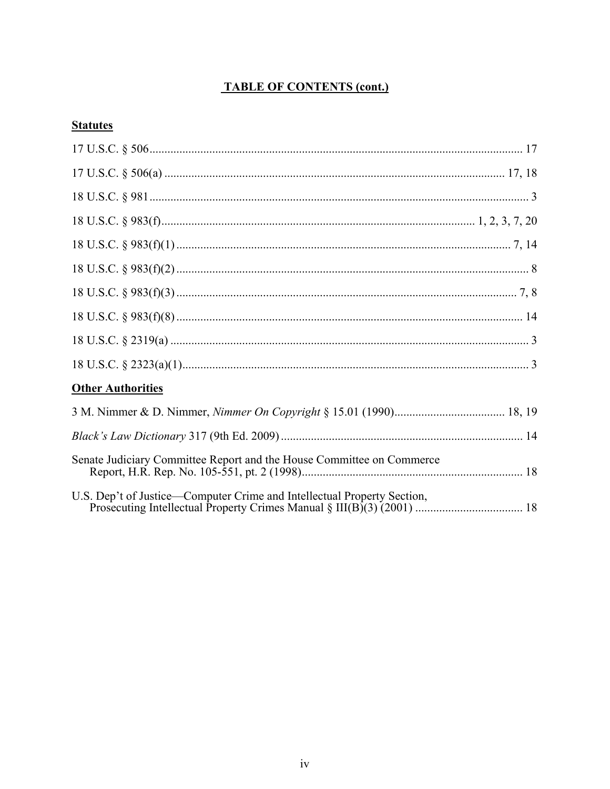# **TABLE OF CONTENTS (cont.)**

# **Statutes**

| <b>Other Authorities</b>                                                |  |
|-------------------------------------------------------------------------|--|
|                                                                         |  |
|                                                                         |  |
| Senate Judiciary Committee Report and the House Committee on Commerce   |  |
| U.S. Dep't of Justice—Computer Crime and Intellectual Property Section, |  |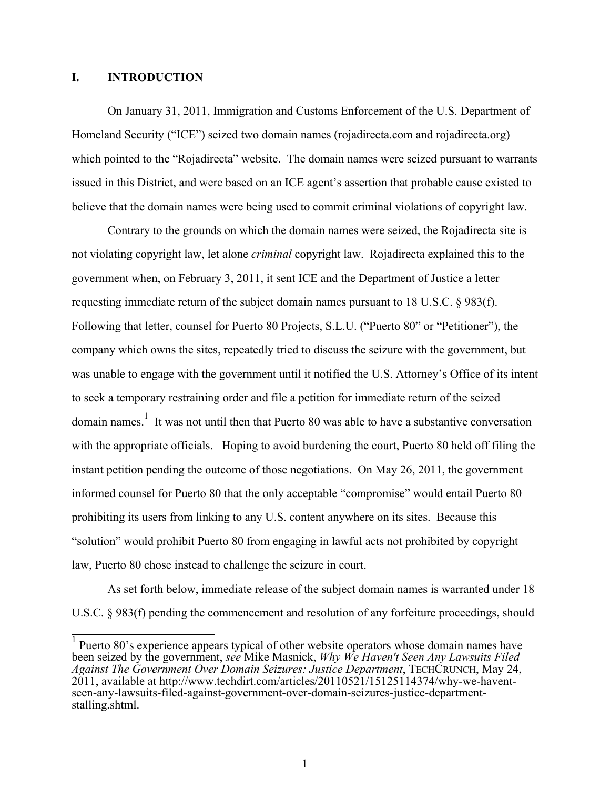#### **I. INTRODUCTION**

On January 31, 2011, Immigration and Customs Enforcement of the U.S. Department of Homeland Security ("ICE") seized two domain names (rojadirecta.com and rojadirecta.org) which pointed to the "Rojadirecta" website. The domain names were seized pursuant to warrants issued in this District, and were based on an ICE agent's assertion that probable cause existed to believe that the domain names were being used to commit criminal violations of copyright law.

Contrary to the grounds on which the domain names were seized, the Rojadirecta site is not violating copyright law, let alone *criminal* copyright law. Rojadirecta explained this to the government when, on February 3, 2011, it sent ICE and the Department of Justice a letter requesting immediate return of the subject domain names pursuant to 18 U.S.C. § 983(f). Following that letter, counsel for Puerto 80 Projects, S.L.U. ("Puerto 80" or "Petitioner"), the company which owns the sites, repeatedly tried to discuss the seizure with the government, but was unable to engage with the government until it notified the U.S. Attorney's Office of its intent to seek a temporary restraining order and file a petition for immediate return of the seized domain names.<sup>1</sup> It was not until then that Puerto 80 was able to have a substantive conversation with the appropriate officials. Hoping to avoid burdening the court, Puerto 80 held off filing the instant petition pending the outcome of those negotiations. On May 26, 2011, the government informed counsel for Puerto 80 that the only acceptable "compromise" would entail Puerto 80 prohibiting its users from linking to any U.S. content anywhere on its sites. Because this "solution" would prohibit Puerto 80 from engaging in lawful acts not prohibited by copyright law, Puerto 80 chose instead to challenge the seizure in court.

As set forth below, immediate release of the subject domain names is warranted under 18 U.S.C. § 983(f) pending the commencement and resolution of any forfeiture proceedings, should

<sup>&</sup>lt;sup>1</sup> Puerto 80's experience appears typical of other website operators whose domain names have been seized by the government, *see* Mike Masnick, *Why We Haven't Seen Any Lawsuits Filed Against The Government Over Domain Seizures: Justice Department*, TECHCRUNCH, May 24, 2011, available at http://www.techdirt.com/articles/20110521/15125114374/why-we-haventseen-any-lawsuits-filed-against-government-over-domain-seizures-justice-departmentstalling.shtml.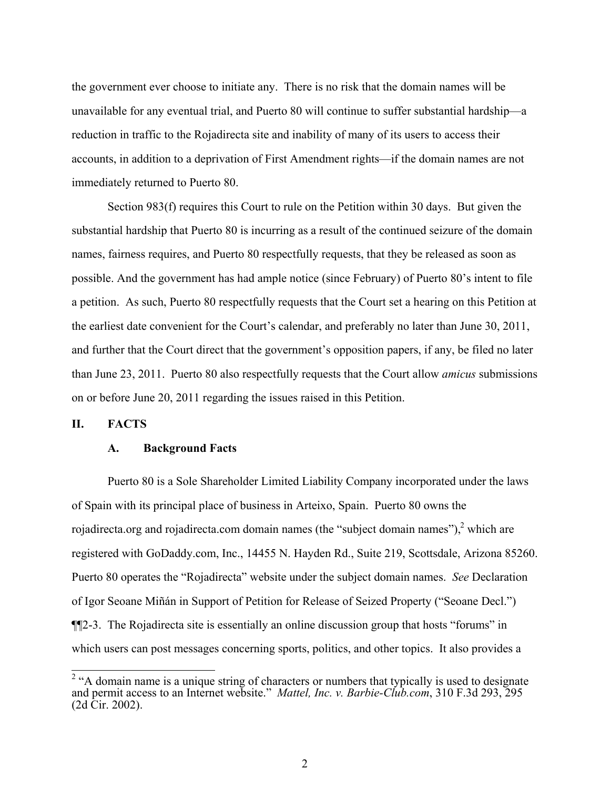the government ever choose to initiate any. There is no risk that the domain names will be unavailable for any eventual trial, and Puerto 80 will continue to suffer substantial hardship—a reduction in traffic to the Rojadirecta site and inability of many of its users to access their accounts, in addition to a deprivation of First Amendment rights—if the domain names are not immediately returned to Puerto 80.

Section 983(f) requires this Court to rule on the Petition within 30 days. But given the substantial hardship that Puerto 80 is incurring as a result of the continued seizure of the domain names, fairness requires, and Puerto 80 respectfully requests, that they be released as soon as possible. And the government has had ample notice (since February) of Puerto 80's intent to file a petition. As such, Puerto 80 respectfully requests that the Court set a hearing on this Petition at the earliest date convenient for the Court's calendar, and preferably no later than June 30, 2011, and further that the Court direct that the government's opposition papers, if any, be filed no later than June 23, 2011. Puerto 80 also respectfully requests that the Court allow *amicus* submissions on or before June 20, 2011 regarding the issues raised in this Petition.

#### **II. FACTS**

#### **A. Background Facts**

Puerto 80 is a Sole Shareholder Limited Liability Company incorporated under the laws of Spain with its principal place of business in Arteixo, Spain. Puerto 80 owns the rojadirecta.org and rojadirecta.com domain names (the "subject domain names"), $\frac{2}{3}$  which are registered with GoDaddy.com, Inc., 14455 N. Hayden Rd., Suite 219, Scottsdale, Arizona 85260. Puerto 80 operates the "Rojadirecta" website under the subject domain names. *See* Declaration of Igor Seoane Miñán in Support of Petition for Release of Seized Property ("Seoane Decl.") ¶¶2-3. The Rojadirecta site is essentially an online discussion group that hosts "forums" in which users can post messages concerning sports, politics, and other topics. It also provides a

 $\frac{1}{2}$  "A domain name is a unique string of characters or numbers that typically is used to designate and permit access to an Internet website." *Mattel, Inc. v. Barbie-Club.com*, 310 F.3d 293, 295 (2d Cir. 2002).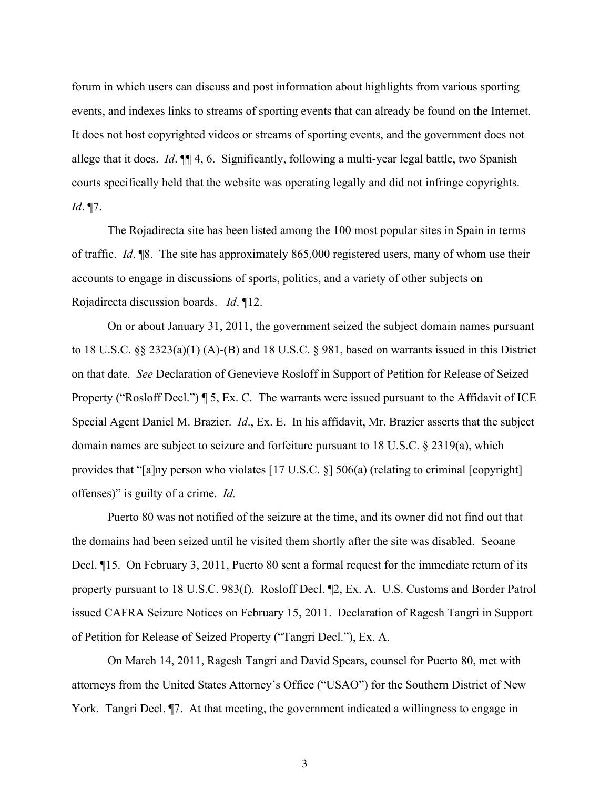forum in which users can discuss and post information about highlights from various sporting events, and indexes links to streams of sporting events that can already be found on the Internet. It does not host copyrighted videos or streams of sporting events, and the government does not allege that it does. *Id*. ¶¶ 4, 6. Significantly, following a multi-year legal battle, two Spanish courts specifically held that the website was operating legally and did not infringe copyrights. *Id*. ¶7.

The Rojadirecta site has been listed among the 100 most popular sites in Spain in terms of traffic. *Id*. ¶8. The site has approximately 865,000 registered users, many of whom use their accounts to engage in discussions of sports, politics, and a variety of other subjects on Rojadirecta discussion boards. *Id*. ¶12.

On or about January 31, 2011, the government seized the subject domain names pursuant to 18 U.S.C. §§ 2323(a)(1) (A)-(B) and 18 U.S.C. § 981, based on warrants issued in this District on that date. *See* Declaration of Genevieve Rosloff in Support of Petition for Release of Seized Property ("Rosloff Decl.") ¶ 5, Ex. C. The warrants were issued pursuant to the Affidavit of ICE Special Agent Daniel M. Brazier. *Id*., Ex. E. In his affidavit, Mr. Brazier asserts that the subject domain names are subject to seizure and forfeiture pursuant to 18 U.S.C. § 2319(a), which provides that "[a]ny person who violates [17 U.S.C. §] 506(a) (relating to criminal [copyright] offenses)" is guilty of a crime. *Id.*

Puerto 80 was not notified of the seizure at the time, and its owner did not find out that the domains had been seized until he visited them shortly after the site was disabled. Seoane Decl. ¶15. On February 3, 2011, Puerto 80 sent a formal request for the immediate return of its property pursuant to 18 U.S.C. 983(f). Rosloff Decl. ¶2, Ex. A. U.S. Customs and Border Patrol issued CAFRA Seizure Notices on February 15, 2011. Declaration of Ragesh Tangri in Support of Petition for Release of Seized Property ("Tangri Decl."), Ex. A.

On March 14, 2011, Ragesh Tangri and David Spears, counsel for Puerto 80, met with attorneys from the United States Attorney's Office ("USAO") for the Southern District of New York. Tangri Decl. ¶7. At that meeting, the government indicated a willingness to engage in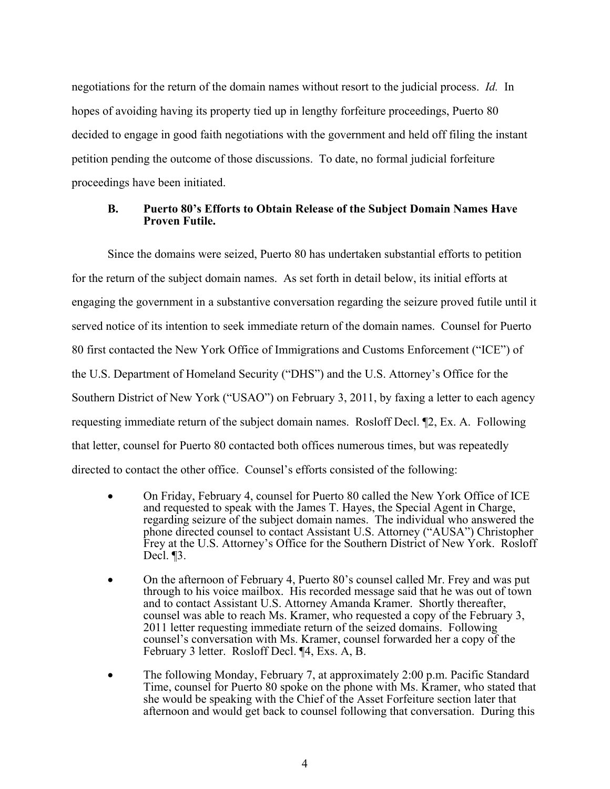negotiations for the return of the domain names without resort to the judicial process. *Id.* In hopes of avoiding having its property tied up in lengthy forfeiture proceedings, Puerto 80 decided to engage in good faith negotiations with the government and held off filing the instant petition pending the outcome of those discussions. To date, no formal judicial forfeiture proceedings have been initiated.

# **B. Puerto 80's Efforts to Obtain Release of the Subject Domain Names Have Proven Futile.**

Since the domains were seized, Puerto 80 has undertaken substantial efforts to petition for the return of the subject domain names. As set forth in detail below, its initial efforts at engaging the government in a substantive conversation regarding the seizure proved futile until it served notice of its intention to seek immediate return of the domain names. Counsel for Puerto 80 first contacted the New York Office of Immigrations and Customs Enforcement ("ICE") of the U.S. Department of Homeland Security ("DHS") and the U.S. Attorney's Office for the Southern District of New York ("USAO") on February 3, 2011, by faxing a letter to each agency requesting immediate return of the subject domain names. Rosloff Decl. ¶2, Ex. A. Following that letter, counsel for Puerto 80 contacted both offices numerous times, but was repeatedly directed to contact the other office. Counsel's efforts consisted of the following:

- On Friday, February 4, counsel for Puerto 80 called the New York Office of ICE and requested to speak with the James T. Hayes, the Special Agent in Charge, regarding seizure of the subject domain names. The individual who answered the phone directed counsel to contact Assistant U.S. Attorney ("AUSA") Christopher Frey at the U.S. Attorney's Office for the Southern District of New York. Rosloff Decl. ¶3.
- ! On the afternoon of February 4, Puerto 80's counsel called Mr. Frey and was put through to his voice mailbox. His recorded message said that he was out of town and to contact Assistant U.S. Attorney Amanda Kramer. Shortly thereafter, counsel was able to reach Ms. Kramer, who requested a copy of the February 3, 2011 letter requesting immediate return of the seized domains. Following counsel's conversation with Ms. Kramer, counsel forwarded her a copy of the February 3 letter. Rosloff Decl. ¶4, Exs. A, B.
- ! The following Monday, February 7, at approximately 2:00 p.m. Pacific Standard Time, counsel for Puerto 80 spoke on the phone with Ms. Kramer, who stated that she would be speaking with the Chief of the Asset Forfeiture section later that afternoon and would get back to counsel following that conversation. During this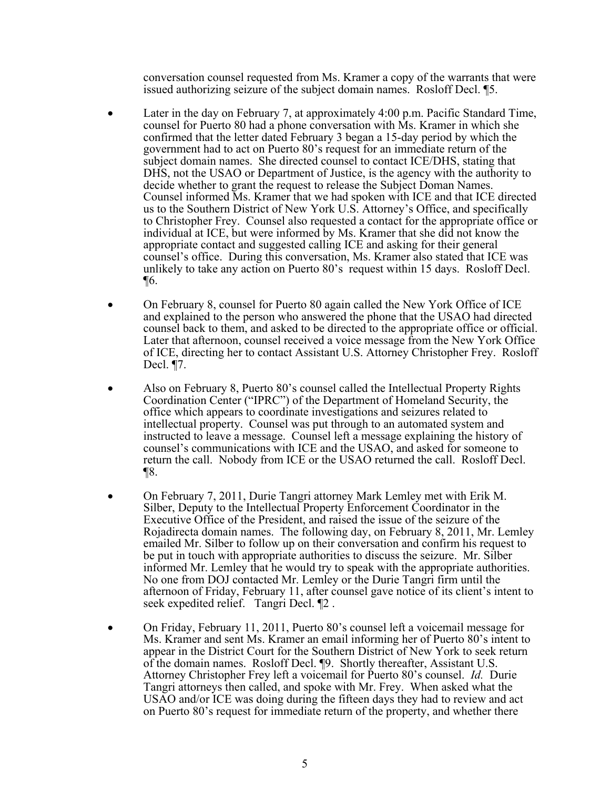conversation counsel requested from Ms. Kramer a copy of the warrants that were issued authorizing seizure of the subject domain names. Rosloff Decl. ¶5.

- Later in the day on February 7, at approximately 4:00 p.m. Pacific Standard Time, counsel for Puerto 80 had a phone conversation with Ms. Kramer in which she confirmed that the letter dated February 3 began a 15-day period by which the government had to act on Puerto 80's request for an immediate return of the subject domain names. She directed counsel to contact ICE/DHS, stating that DHS, not the USAO or Department of Justice, is the agency with the authority to decide whether to grant the request to release the Subject Doman Names. Counsel informed Ms. Kramer that we had spoken with ICE and that ICE directed us to the Southern District of New York U.S. Attorney's Office, and specifically to Christopher Frey. Counsel also requested a contact for the appropriate office or individual at ICE, but were informed by Ms. Kramer that she did not know the appropriate contact and suggested calling ICE and asking for their general counsel's office. During this conversation, Ms. Kramer also stated that ICE was unlikely to take any action on Puerto 80's request within 15 days. Rosloff Decl. ¶6.
- ! On February 8, counsel for Puerto 80 again called the New York Office of ICE and explained to the person who answered the phone that the USAO had directed counsel back to them, and asked to be directed to the appropriate office or official. Later that afternoon, counsel received a voice message from the New York Office of ICE, directing her to contact Assistant U.S. Attorney Christopher Frey. Rosloff Decl. ¶7.
- Also on February 8, Puerto 80's counsel called the Intellectual Property Rights Coordination Center ("IPRC") of the Department of Homeland Security, the office which appears to coordinate investigations and seizures related to intellectual property. Counsel was put through to an automated system and instructed to leave a message. Counsel left a message explaining the history of counsel's communications with ICE and the USAO, and asked for someone to return the call. Nobody from ICE or the USAO returned the call. Rosloff Decl. ¶8.
- On February 7, 2011, Durie Tangri attorney Mark Lemley met with Erik M. Silber, Deputy to the Intellectual Property Enforcement Coordinator in the Executive Office of the President, and raised the issue of the seizure of the Rojadirecta domain names. The following day, on February 8, 2011, Mr. Lemley emailed Mr. Silber to follow up on their conversation and confirm his request to be put in touch with appropriate authorities to discuss the seizure. Mr. Silber informed Mr. Lemley that he would try to speak with the appropriate authorities. No one from DOJ contacted Mr. Lemley or the Durie Tangri firm until the afternoon of Friday, February 11, after counsel gave notice of its client's intent to seek expedited relief. Tangri Decl. ¶2 .
- On Friday, February 11, 2011, Puerto 80's counsel left a voicemail message for Ms. Kramer and sent Ms. Kramer an email informing her of Puerto 80's intent to appear in the District Court for the Southern District of New York to seek return of the domain names. Rosloff Decl. ¶9. Shortly thereafter, Assistant U.S. Attorney Christopher Frey left a voicemail for Puerto 80's counsel. *Id.* Durie Tangri attorneys then called, and spoke with Mr. Frey. When asked what the USAO and/or ICE was doing during the fifteen days they had to review and act on Puerto 80's request for immediate return of the property, and whether there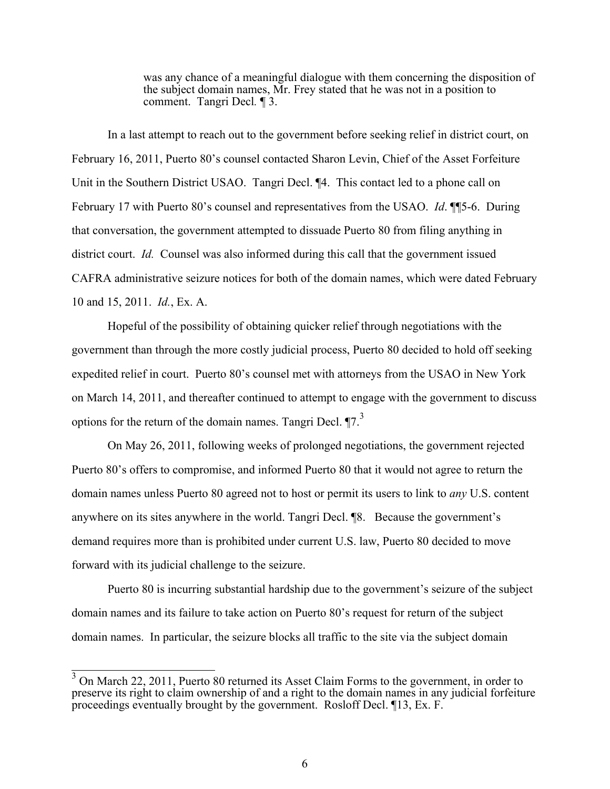was any chance of a meaningful dialogue with them concerning the disposition of the subject domain names, Mr. Frey stated that he was not in a position to comment. Tangri Decl*.* ¶ 3.

In a last attempt to reach out to the government before seeking relief in district court, on February 16, 2011, Puerto 80's counsel contacted Sharon Levin, Chief of the Asset Forfeiture Unit in the Southern District USAO. Tangri Decl. ¶4. This contact led to a phone call on February 17 with Puerto 80's counsel and representatives from the USAO. *Id*. ¶¶5-6. During that conversation, the government attempted to dissuade Puerto 80 from filing anything in district court. *Id.* Counsel was also informed during this call that the government issued CAFRA administrative seizure notices for both of the domain names, which were dated February 10 and 15, 2011. *Id.*, Ex. A.

Hopeful of the possibility of obtaining quicker relief through negotiations with the government than through the more costly judicial process, Puerto 80 decided to hold off seeking expedited relief in court. Puerto 80's counsel met with attorneys from the USAO in New York on March 14, 2011, and thereafter continued to attempt to engage with the government to discuss options for the return of the domain names. Tangri Decl.  $\P$ 7.<sup>3</sup>

On May 26, 2011, following weeks of prolonged negotiations, the government rejected Puerto 80's offers to compromise, and informed Puerto 80 that it would not agree to return the domain names unless Puerto 80 agreed not to host or permit its users to link to *any* U.S. content anywhere on its sites anywhere in the world. Tangri Decl. ¶8. Because the government's demand requires more than is prohibited under current U.S. law, Puerto 80 decided to move forward with its judicial challenge to the seizure.

Puerto 80 is incurring substantial hardship due to the government's seizure of the subject domain names and its failure to take action on Puerto 80's request for return of the subject domain names. In particular, the seizure blocks all traffic to the site via the subject domain

 $\frac{3}{3}$  On March 22, 2011, Puerto 80 returned its Asset Claim Forms to the government, in order to preserve its right to claim ownership of and a right to the domain names in any judicial forfeiture proceedings eventually brought by the government. Rosloff Decl. ¶13, Ex. F.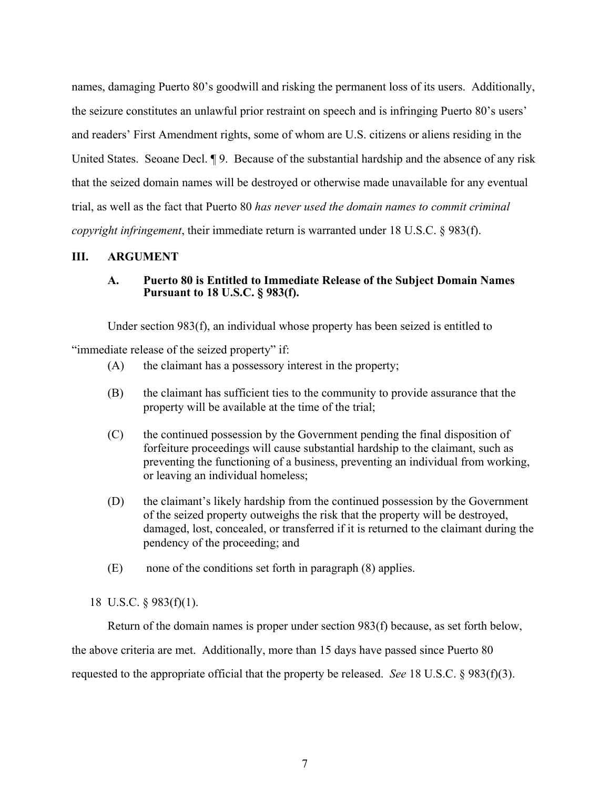names, damaging Puerto 80's goodwill and risking the permanent loss of its users. Additionally, the seizure constitutes an unlawful prior restraint on speech and is infringing Puerto 80's users' and readers' First Amendment rights, some of whom are U.S. citizens or aliens residing in the United States. Seoane Decl. ¶ 9. Because of the substantial hardship and the absence of any risk that the seized domain names will be destroyed or otherwise made unavailable for any eventual trial, as well as the fact that Puerto 80 *has never used the domain names to commit criminal copyright infringement*, their immediate return is warranted under 18 U.S.C. § 983(f).

#### **III. ARGUMENT**

# **A. Puerto 80 is Entitled to Immediate Release of the Subject Domain Names Pursuant to 18 U.S.C. § 983(f).**

Under section 983(f), an individual whose property has been seized is entitled to

"immediate release of the seized property" if:

- (A) the claimant has a possessory interest in the property;
- (B) the claimant has sufficient ties to the community to provide assurance that the property will be available at the time of the trial;
- (C) the continued possession by the Government pending the final disposition of forfeiture proceedings will cause substantial hardship to the claimant, such as preventing the functioning of a business, preventing an individual from working, or leaving an individual homeless;
- (D) the claimant's likely hardship from the continued possession by the Government of the seized property outweighs the risk that the property will be destroyed, damaged, lost, concealed, or transferred if it is returned to the claimant during the pendency of the proceeding; and
- (E) none of the conditions set forth in paragraph (8) applies.

#### 18 U.S.C. § 983(f)(1).

Return of the domain names is proper under section 983(f) because, as set forth below, the above criteria are met. Additionally, more than 15 days have passed since Puerto 80 requested to the appropriate official that the property be released. *See* 18 U.S.C. § 983(f)(3).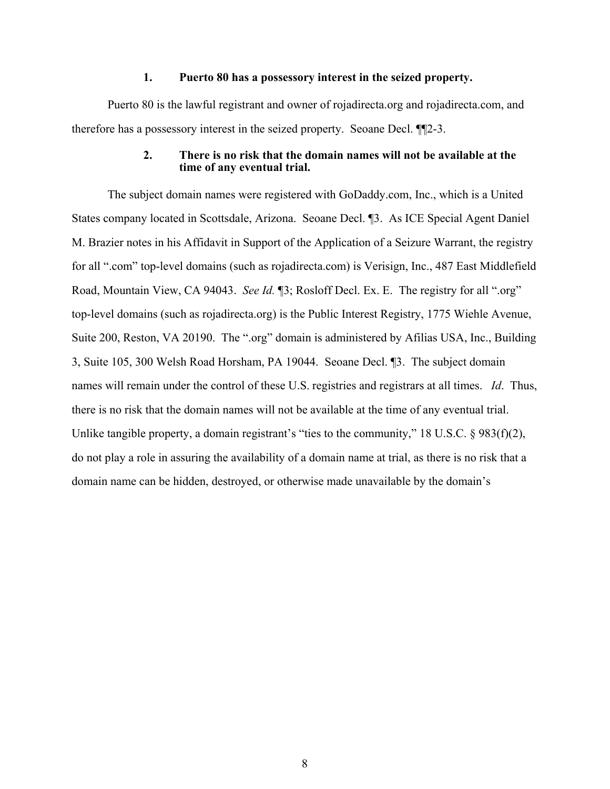#### **1. Puerto 80 has a possessory interest in the seized property.**

Puerto 80 is the lawful registrant and owner of rojadirecta.org and rojadirecta.com, and therefore has a possessory interest in the seized property. Seoane Decl. ¶¶2-3.

#### **2. There is no risk that the domain names will not be available at the time of any eventual trial.**

The subject domain names were registered with GoDaddy.com, Inc., which is a United States company located in Scottsdale, Arizona. Seoane Decl. ¶3. As ICE Special Agent Daniel M. Brazier notes in his Affidavit in Support of the Application of a Seizure Warrant, the registry for all ".com" top-level domains (such as rojadirecta.com) is Verisign, Inc., 487 East Middlefield Road, Mountain View, CA 94043. *See Id.* ¶3; Rosloff Decl. Ex. E. The registry for all ".org" top-level domains (such as rojadirecta.org) is the Public Interest Registry, 1775 Wiehle Avenue, Suite 200, Reston, VA 20190. The ".org" domain is administered by Afilias USA, Inc., Building 3, Suite 105, 300 Welsh Road Horsham, PA 19044. Seoane Decl. ¶3. The subject domain names will remain under the control of these U.S. registries and registrars at all times. *Id*. Thus, there is no risk that the domain names will not be available at the time of any eventual trial. Unlike tangible property, a domain registrant's "ties to the community," 18 U.S.C. § 983(f)(2), do not play a role in assuring the availability of a domain name at trial, as there is no risk that a domain name can be hidden, destroyed, or otherwise made unavailable by the domain's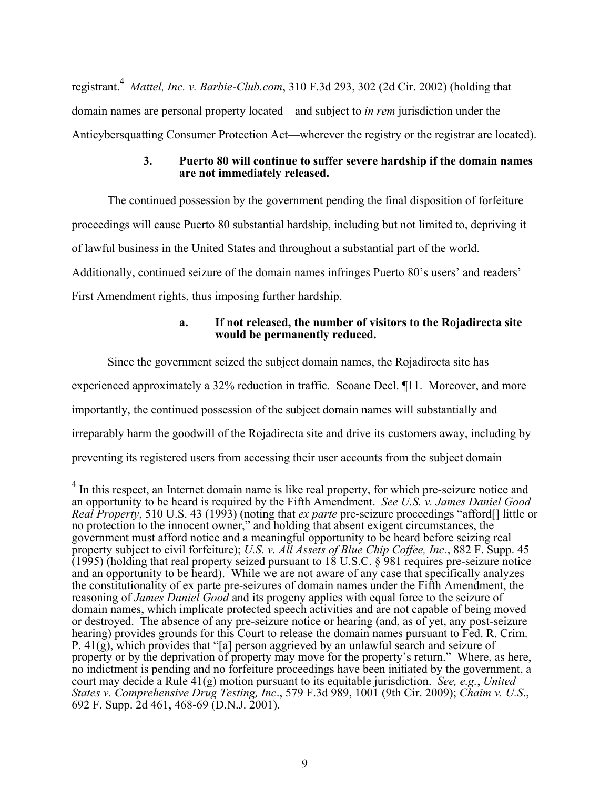registrant.4 *Mattel, Inc. v. Barbie-Club.com*, 310 F.3d 293, 302 (2d Cir. 2002) (holding that domain names are personal property located—and subject to *in rem* jurisdiction under the Anticybersquatting Consumer Protection Act—wherever the registry or the registrar are located).

#### **3. Puerto 80 will continue to suffer severe hardship if the domain names are not immediately released.**

The continued possession by the government pending the final disposition of forfeiture proceedings will cause Puerto 80 substantial hardship, including but not limited to, depriving it of lawful business in the United States and throughout a substantial part of the world. Additionally, continued seizure of the domain names infringes Puerto 80's users' and readers' First Amendment rights, thus imposing further hardship.

# **a. If not released, the number of visitors to the Rojadirecta site would be permanently reduced.**

Since the government seized the subject domain names, the Rojadirecta site has experienced approximately a 32% reduction in traffic. Seoane Decl. ¶11. Moreover, and more importantly, the continued possession of the subject domain names will substantially and irreparably harm the goodwill of the Rojadirecta site and drive its customers away, including by preventing its registered users from accessing their user accounts from the subject domain

<sup>&</sup>lt;sup>4</sup> In this respect, an Internet domain name is like real property, for which pre-seizure notice and an opportunity to be heard is required by the Fifth Amendment. *See U.S. v. James Daniel Good Real Property*, 510 U.S. 43 (1993) (noting that *ex parte* pre-seizure proceedings "afford[] little or no protection to the innocent owner," and holding that absent exigent circumstances, the government must afford notice and a meaningful opportunity to be heard before seizing real property subject to civil forfeiture); *U.S. v. All Assets of Blue Chip Coffee, Inc.*, 882 F. Supp. 45 (1995) (holding that real property seized pursuant to  $18 \text{ U.S.C.}$  § 981 requires pre-seizure notice and an opportunity to be heard). While we are not aware of any case that specifically analyzes the constitutionality of ex parte pre-seizures of domain names under the Fifth Amendment, the reasoning of *James Daniel Good* and its progeny applies with equal force to the seizure of domain names, which implicate protected speech activities and are not capable of being moved or destroyed. The absence of any pre-seizure notice or hearing (and, as of yet, any post-seizure hearing) provides grounds for this Court to release the domain names pursuant to Fed. R. Crim. P. 41(g), which provides that "[a] person aggrieved by an unlawful search and seizure of property or by the deprivation of property may move for the property's return." Where, as here, no indictment is pending and no forfeiture proceedings have been initiated by the government, a court may decide a Rule 41(g) motion pursuant to its equitable jurisdiction. *See, e.g.*, *United States v. Comprehensive Drug Testing, Inc*., 579 F.3d 989, 1001 (9th Cir. 2009); *Chaim v. U.S*., 692 F. Supp. 2d 461, 468-69 (D.N.J. 2001).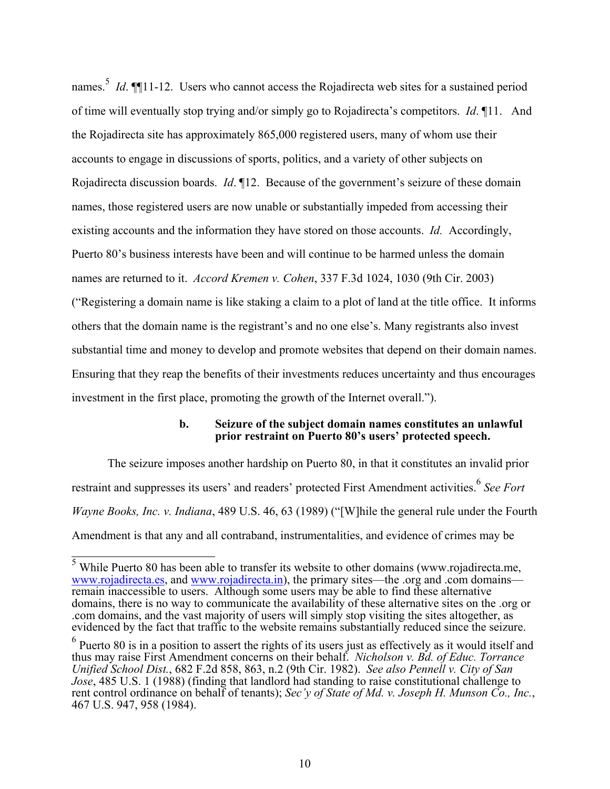names.<sup>5</sup> *Id*. ¶[11-12. Users who cannot access the Rojadirecta web sites for a sustained period of time will eventually stop trying and/or simply go to Rojadirecta's competitors. *Id*. ¶11. And the Rojadirecta site has approximately 865,000 registered users, many of whom use their accounts to engage in discussions of sports, politics, and a variety of other subjects on Rojadirecta discussion boards. *Id*. ¶12. Because of the government's seizure of these domain names, those registered users are now unable or substantially impeded from accessing their existing accounts and the information they have stored on those accounts. *Id.* Accordingly, Puerto 80's business interests have been and will continue to be harmed unless the domain names are returned to it. *Accord Kremen v. Cohen*, 337 F.3d 1024, 1030 (9th Cir. 2003) ("Registering a domain name is like staking a claim to a plot of land at the title office. It informs others that the domain name is the registrant's and no one else's. Many registrants also invest substantial time and money to develop and promote websites that depend on their domain names. Ensuring that they reap the benefits of their investments reduces uncertainty and thus encourages investment in the first place, promoting the growth of the Internet overall.").

#### **b. Seizure of the subject domain names constitutes an unlawful prior restraint on Puerto 80's users' protected speech.**

The seizure imposes another hardship on Puerto 80, in that it constitutes an invalid prior restraint and suppresses its users' and readers' protected First Amendment activities.<sup>6</sup> See Fort *Wayne Books, Inc. v. Indiana*, 489 U.S. 46, 63 (1989) ("[W]hile the general rule under the Fourth Amendment is that any and all contraband, instrumentalities, and evidence of crimes may be

 $\frac{5}{3}$  While Puerto 80 has been able to transfer its website to other domains (www.rojadirecta.me, www.rojadirecta.es, and www.rojadirecta.in), the primary sites—the .org and .com domains remain inaccessible to users. Although some users may be able to find these alternative domains, there is no way to communicate the availability of these alternative sites on the .org or .com domains, and the vast majority of users will simply stop visiting the sites altogether, as evidenced by the fact that traffic to the website remains substantially reduced since the seizure.

 $<sup>6</sup>$  Puerto 80 is in a position to assert the rights of its users just as effectively as it would itself and</sup> thus may raise First Amendment concerns on their behalf. *Nicholson v. Bd. of Educ. Torrance Unified School Dist.*, 682 F.2d 858, 863, n.2 (9th Cir. 1982). *See also Pennell v. City of San Jose*, 485 U.S. 1 (1988) (finding that landlord had standing to raise constitutional challenge to rent control ordinance on behalf of tenants); *Sec'y of State of Md. v. Joseph H. Munson Co., Inc.*, 467 U.S. 947, 958 (1984).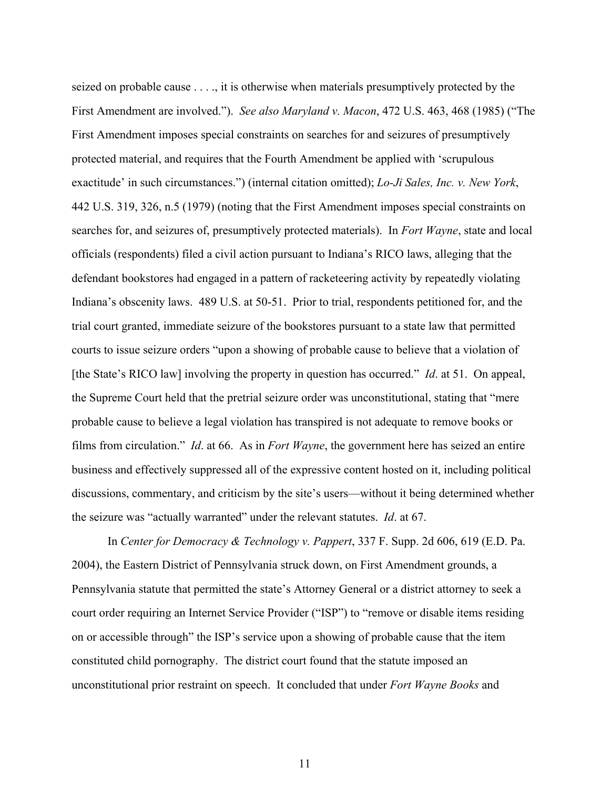seized on probable cause . . . ., it is otherwise when materials presumptively protected by the First Amendment are involved."). *See also Maryland v. Macon*, 472 U.S. 463, 468 (1985) ("The First Amendment imposes special constraints on searches for and seizures of presumptively protected material, and requires that the Fourth Amendment be applied with 'scrupulous exactitude' in such circumstances.") (internal citation omitted); *Lo-Ji Sales, Inc. v. New York*, 442 U.S. 319, 326, n.5 (1979) (noting that the First Amendment imposes special constraints on searches for, and seizures of, presumptively protected materials). In *Fort Wayne*, state and local officials (respondents) filed a civil action pursuant to Indiana's RICO laws, alleging that the defendant bookstores had engaged in a pattern of racketeering activity by repeatedly violating Indiana's obscenity laws. 489 U.S. at 50-51. Prior to trial, respondents petitioned for, and the trial court granted, immediate seizure of the bookstores pursuant to a state law that permitted courts to issue seizure orders "upon a showing of probable cause to believe that a violation of [the State's RICO law] involving the property in question has occurred." *Id*. at 51. On appeal, the Supreme Court held that the pretrial seizure order was unconstitutional, stating that "mere probable cause to believe a legal violation has transpired is not adequate to remove books or films from circulation." *Id*. at 66. As in *Fort Wayne*, the government here has seized an entire business and effectively suppressed all of the expressive content hosted on it, including political discussions, commentary, and criticism by the site's users—without it being determined whether the seizure was "actually warranted" under the relevant statutes. *Id*. at 67.

In *Center for Democracy & Technology v. Pappert*, 337 F. Supp. 2d 606, 619 (E.D. Pa. 2004), the Eastern District of Pennsylvania struck down, on First Amendment grounds, a Pennsylvania statute that permitted the state's Attorney General or a district attorney to seek a court order requiring an Internet Service Provider ("ISP") to "remove or disable items residing on or accessible through" the ISP's service upon a showing of probable cause that the item constituted child pornography. The district court found that the statute imposed an unconstitutional prior restraint on speech. It concluded that under *Fort Wayne Books* and

11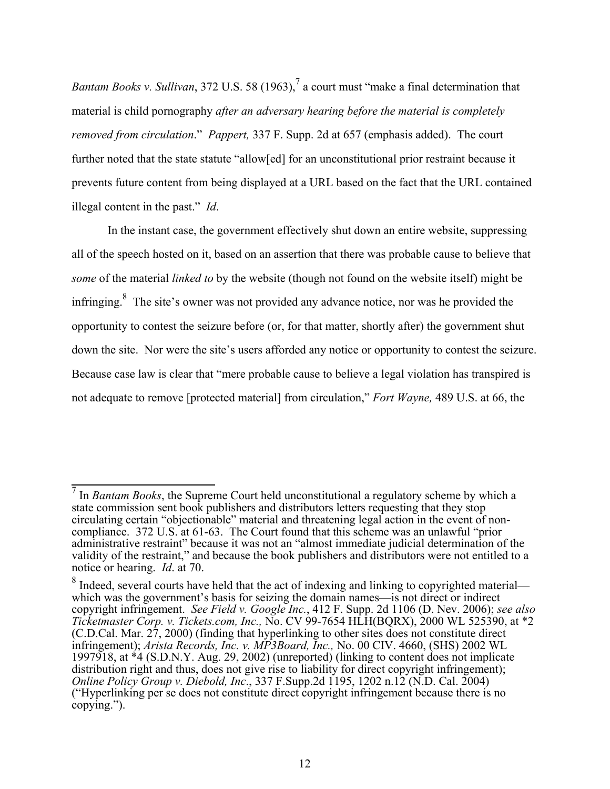*Bantam Books v. Sullivan*, 372 U.S. 58 (1963),<sup>7</sup> a court must "make a final determination that material is child pornography *after an adversary hearing before the material is completely removed from circulation*." *Pappert,* 337 F. Supp. 2d at 657 (emphasis added). The court further noted that the state statute "allow[ed] for an unconstitutional prior restraint because it prevents future content from being displayed at a URL based on the fact that the URL contained illegal content in the past." *Id*.

In the instant case, the government effectively shut down an entire website, suppressing all of the speech hosted on it, based on an assertion that there was probable cause to believe that *some* of the material *linked to* by the website (though not found on the website itself) might be infringing.<sup>8</sup> The site's owner was not provided any advance notice, nor was he provided the opportunity to contest the seizure before (or, for that matter, shortly after) the government shut down the site. Nor were the site's users afforded any notice or opportunity to contest the seizure. Because case law is clear that "mere probable cause to believe a legal violation has transpired is not adequate to remove [protected material] from circulation," *Fort Wayne,* 489 U.S. at 66, the

<sup>&</sup>lt;sup>7</sup> In *Bantam Books*, the Supreme Court held unconstitutional a regulatory scheme by which a state commission sent book publishers and distributors letters requesting that they stop circulating certain "objectionable" material and threatening legal action in the event of noncompliance. 372 U.S. at 61-63. The Court found that this scheme was an unlawful "prior administrative restraint" because it was not an "almost immediate judicial determination of the validity of the restraint," and because the book publishers and distributors were not entitled to a notice or hearing. *Id*. at 70.

 $8$  Indeed, several courts have held that the act of indexing and linking to copyrighted material which was the government's basis for seizing the domain names—is not direct or indirect copyright infringement. *See Field v. Google Inc.*, 412 F. Supp. 2d 1106 (D. Nev. 2006); *see also Ticketmaster Corp. v. Tickets.com, Inc.,* No. CV 99-7654 HLH(BQRX), 2000 WL 525390, at \*2 (C.D.Cal. Mar. 27, 2000) (finding that hyperlinking to other sites does not constitute direct infringement); *Arista Records, Inc. v. MP3Board, Inc.,* No. 00 CIV. 4660, (SHS) 2002 WL 1997918, at \*4 (S.D.N.Y. Aug. 29, 2002) (unreported) (linking to content does not implicate distribution right and thus, does not give rise to liability for direct copyright infringement); *Online Policy Group v. Diebold, Inc*., 337 F.Supp.2d 1195, 1202 n.12 (N.D. Cal. 2004) ("Hyperlinking per se does not constitute direct copyright infringement because there is no copying.").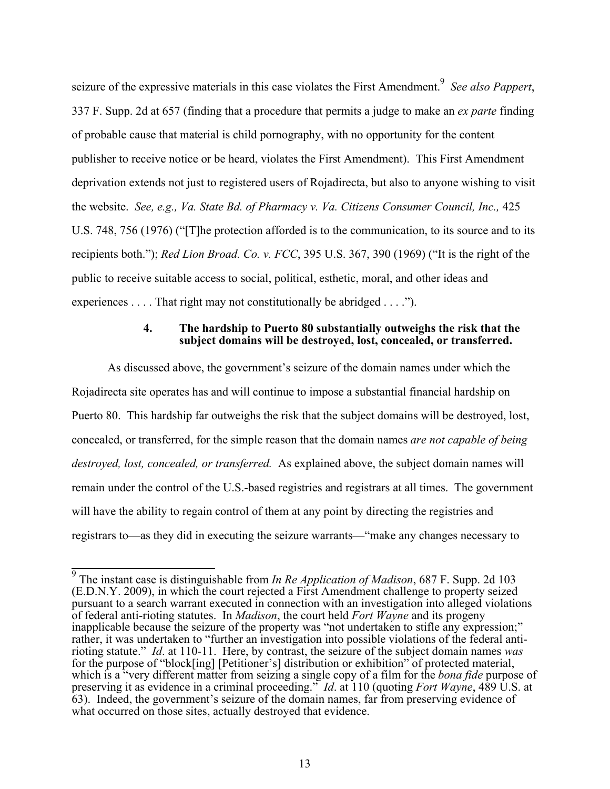seizure of the expressive materials in this case violates the First Amendment.<sup>9</sup> See also Pappert, 337 F. Supp. 2d at 657 (finding that a procedure that permits a judge to make an *ex parte* finding of probable cause that material is child pornography, with no opportunity for the content publisher to receive notice or be heard, violates the First Amendment). This First Amendment deprivation extends not just to registered users of Rojadirecta, but also to anyone wishing to visit the website. *See, e.g., Va. State Bd. of Pharmacy v. Va. Citizens Consumer Council, Inc.,* 425 U.S. 748, 756 (1976) ("[T]he protection afforded is to the communication, to its source and to its recipients both."); *Red Lion Broad. Co. v. FCC*, 395 U.S. 367, 390 (1969) ("It is the right of the public to receive suitable access to social, political, esthetic, moral, and other ideas and experiences . . . . That right may not constitutionally be abridged . . . .").

# **4. The hardship to Puerto 80 substantially outweighs the risk that the subject domains will be destroyed, lost, concealed, or transferred.**

As discussed above, the government's seizure of the domain names under which the Rojadirecta site operates has and will continue to impose a substantial financial hardship on Puerto 80. This hardship far outweighs the risk that the subject domains will be destroyed, lost, concealed, or transferred, for the simple reason that the domain names *are not capable of being destroyed, lost, concealed, or transferred.* As explained above, the subject domain names will remain under the control of the U.S.-based registries and registrars at all times. The government will have the ability to regain control of them at any point by directing the registries and registrars to—as they did in executing the seizure warrants—"make any changes necessary to

 <sup>9</sup> The instant case is distinguishable from *In Re Application of Madison*, 687 F. Supp. 2d 103 (E.D.N.Y. 2009), in which the court rejected a First Amendment challenge to property seized pursuant to a search warrant executed in connection with an investigation into alleged violations of federal anti-rioting statutes. In *Madison*, the court held *Fort Wayne* and its progeny inapplicable because the seizure of the property was "not undertaken to stifle any expression;" rather, it was undertaken to "further an investigation into possible violations of the federal antirioting statute." *Id*. at 110-11. Here, by contrast, the seizure of the subject domain names *was* for the purpose of "block[ing] [Petitioner's] distribution or exhibition" of protected material, which is a "very different matter from seizing a single copy of a film for the *bona fide* purpose of preserving it as evidence in a criminal proceeding." *Id*. at 110 (quoting *Fort Wayne*, 489 U.S. at 63). Indeed, the government's seizure of the domain names, far from preserving evidence of what occurred on those sites, actually destroyed that evidence.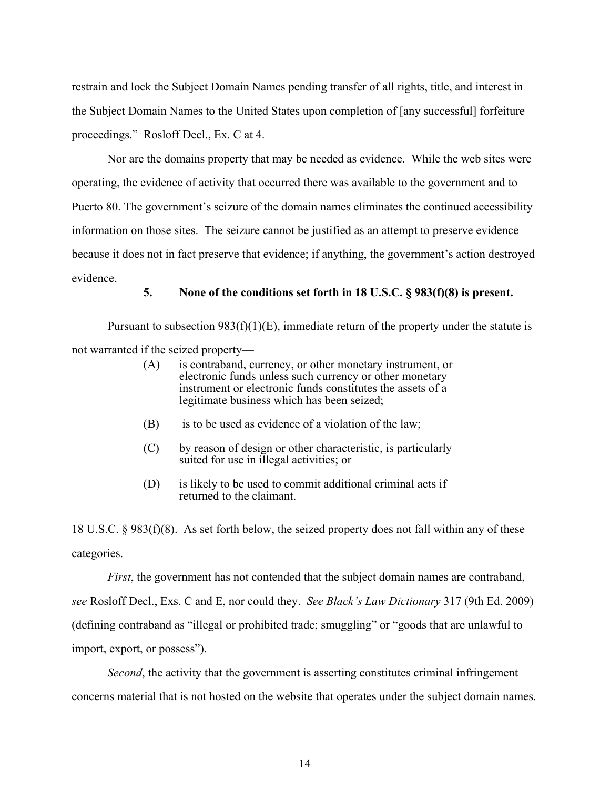restrain and lock the Subject Domain Names pending transfer of all rights, title, and interest in the Subject Domain Names to the United States upon completion of [any successful] forfeiture proceedings." Rosloff Decl., Ex. C at 4.

Nor are the domains property that may be needed as evidence. While the web sites were operating, the evidence of activity that occurred there was available to the government and to Puerto 80. The government's seizure of the domain names eliminates the continued accessibility information on those sites. The seizure cannot be justified as an attempt to preserve evidence because it does not in fact preserve that evidence; if anything, the government's action destroyed evidence.

#### **5. None of the conditions set forth in 18 U.S.C. § 983(f)(8) is present.**

Pursuant to subsection  $983(f)(1)(E)$ , immediate return of the property under the statute is not warranted if the seized property—

- (A) is contraband, currency, or other monetary instrument, or electronic funds unless such currency or other monetary instrument or electronic funds constitutes the assets of a legitimate business which has been seized;
- (B) is to be used as evidence of a violation of the law;
- (C) by reason of design or other characteristic, is particularly suited for use in illegal activities; or
- (D) is likely to be used to commit additional criminal acts if returned to the claimant.

18 U.S.C. § 983(f)(8). As set forth below, the seized property does not fall within any of these categories.

*First*, the government has not contended that the subject domain names are contraband,

*see* Rosloff Decl., Exs. C and E, nor could they. *See Black's Law Dictionary* 317 (9th Ed. 2009) (defining contraband as "illegal or prohibited trade; smuggling" or "goods that are unlawful to import, export, or possess").

*Second*, the activity that the government is asserting constitutes criminal infringement concerns material that is not hosted on the website that operates under the subject domain names.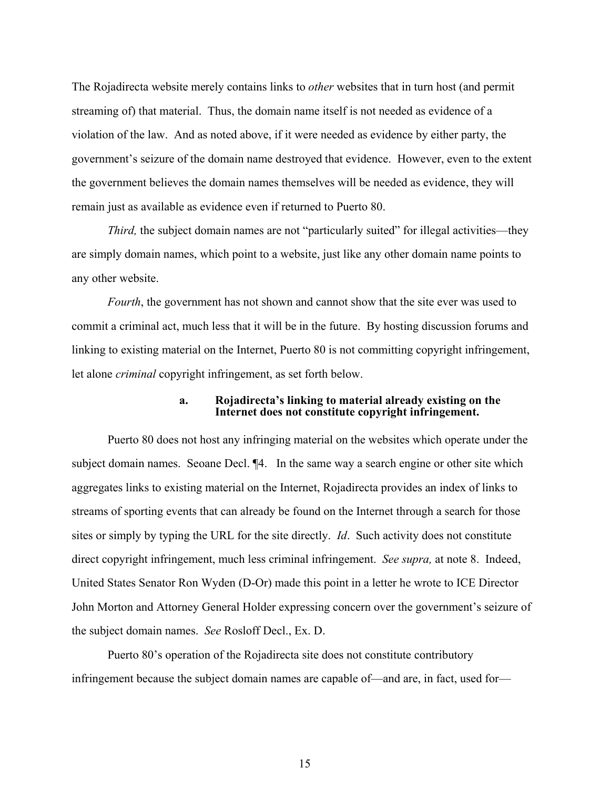The Rojadirecta website merely contains links to *other* websites that in turn host (and permit streaming of) that material. Thus, the domain name itself is not needed as evidence of a violation of the law. And as noted above, if it were needed as evidence by either party, the government's seizure of the domain name destroyed that evidence. However, even to the extent the government believes the domain names themselves will be needed as evidence, they will remain just as available as evidence even if returned to Puerto 80.

*Third*, the subject domain names are not "particularly suited" for illegal activities—they are simply domain names, which point to a website, just like any other domain name points to any other website.

*Fourth*, the government has not shown and cannot show that the site ever was used to commit a criminal act, much less that it will be in the future. By hosting discussion forums and linking to existing material on the Internet, Puerto 80 is not committing copyright infringement, let alone *criminal* copyright infringement, as set forth below.

#### **a. Rojadirecta's linking to material already existing on the Internet does not constitute copyright infringement.**

Puerto 80 does not host any infringing material on the websites which operate under the subject domain names. Seoane Decl. ¶4. In the same way a search engine or other site which aggregates links to existing material on the Internet, Rojadirecta provides an index of links to streams of sporting events that can already be found on the Internet through a search for those sites or simply by typing the URL for the site directly. *Id*. Such activity does not constitute direct copyright infringement, much less criminal infringement. *See supra,* at note 8. Indeed, United States Senator Ron Wyden (D-Or) made this point in a letter he wrote to ICE Director John Morton and Attorney General Holder expressing concern over the government's seizure of the subject domain names. *See* Rosloff Decl., Ex. D.

Puerto 80's operation of the Rojadirecta site does not constitute contributory infringement because the subject domain names are capable of—and are, in fact, used for—

15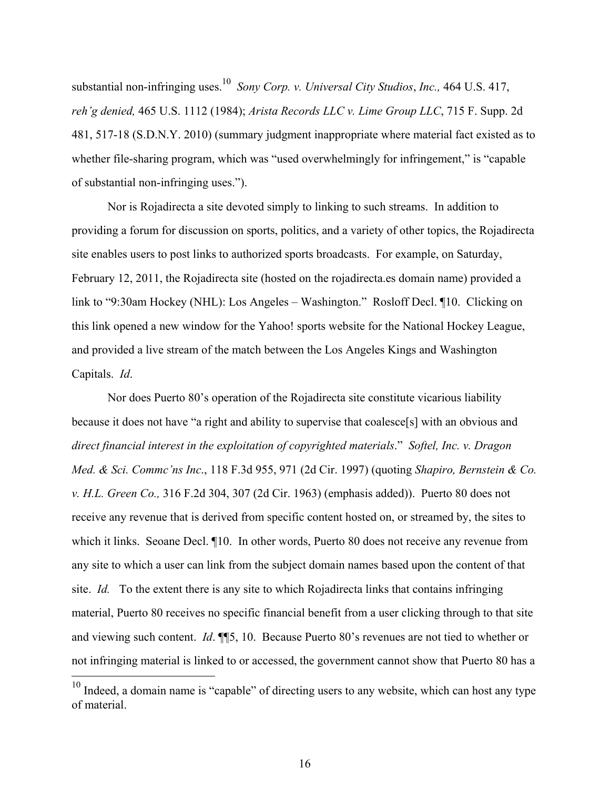substantial non-infringing uses.10 *Sony Corp. v. Universal City Studios*, *Inc.,* 464 U.S. 417, *reh'g denied,* 465 U.S. 1112 (1984); *Arista Records LLC v. Lime Group LLC*, 715 F. Supp. 2d 481, 517-18 (S.D.N.Y. 2010) (summary judgment inappropriate where material fact existed as to whether file-sharing program, which was "used overwhelmingly for infringement," is "capable of substantial non-infringing uses.").

Nor is Rojadirecta a site devoted simply to linking to such streams. In addition to providing a forum for discussion on sports, politics, and a variety of other topics, the Rojadirecta site enables users to post links to authorized sports broadcasts. For example, on Saturday, February 12, 2011, the Rojadirecta site (hosted on the rojadirecta.es domain name) provided a link to "9:30am Hockey (NHL): Los Angeles – Washington." Rosloff Decl. ¶10. Clicking on this link opened a new window for the Yahoo! sports website for the National Hockey League, and provided a live stream of the match between the Los Angeles Kings and Washington Capitals. *Id*.

Nor does Puerto 80's operation of the Rojadirecta site constitute vicarious liability because it does not have "a right and ability to supervise that coalesce[s] with an obvious and *direct financial interest in the exploitation of copyrighted materials*." *Softel, Inc. v. Dragon Med. & Sci. Commc'ns Inc*., 118 F.3d 955, 971 (2d Cir. 1997) (quoting *Shapiro, Bernstein & Co. v. H.L. Green Co.,* 316 F.2d 304, 307 (2d Cir. 1963) (emphasis added)). Puerto 80 does not receive any revenue that is derived from specific content hosted on, or streamed by, the sites to which it links. Seoane Decl.  $\P$ 10. In other words, Puerto 80 does not receive any revenue from any site to which a user can link from the subject domain names based upon the content of that site. *Id.* To the extent there is any site to which Rojadirecta links that contains infringing material, Puerto 80 receives no specific financial benefit from a user clicking through to that site and viewing such content. *Id*. ¶¶5, 10. Because Puerto 80's revenues are not tied to whether or not infringing material is linked to or accessed, the government cannot show that Puerto 80 has a

<u>.</u>

 $10$  Indeed, a domain name is "capable" of directing users to any website, which can host any type of material.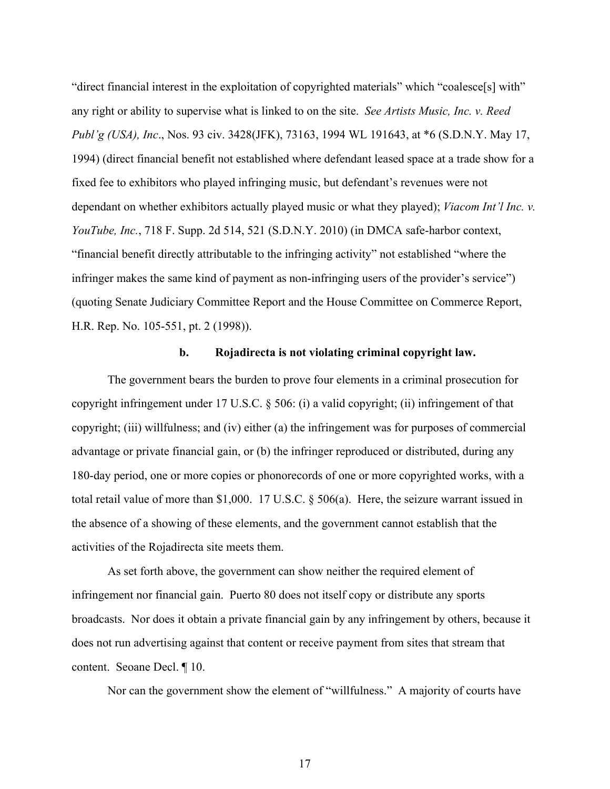"direct financial interest in the exploitation of copyrighted materials" which "coalesce[s] with" any right or ability to supervise what is linked to on the site. *See Artists Music, Inc. v. Reed Publ'g (USA), Inc*., Nos. 93 civ. 3428(JFK), 73163, 1994 WL 191643, at \*6 (S.D.N.Y. May 17, 1994) (direct financial benefit not established where defendant leased space at a trade show for a fixed fee to exhibitors who played infringing music, but defendant's revenues were not dependant on whether exhibitors actually played music or what they played); *Viacom Int'l Inc. v. YouTube, Inc.*, 718 F. Supp. 2d 514, 521 (S.D.N.Y. 2010) (in DMCA safe-harbor context, "financial benefit directly attributable to the infringing activity" not established "where the infringer makes the same kind of payment as non-infringing users of the provider's service") (quoting Senate Judiciary Committee Report and the House Committee on Commerce Report, H.R. Rep. No. 105-551, pt. 2 (1998)).

#### **b. Rojadirecta is not violating criminal copyright law.**

The government bears the burden to prove four elements in a criminal prosecution for copyright infringement under 17 U.S.C. § 506: (i) a valid copyright; (ii) infringement of that copyright; (iii) willfulness; and (iv) either (a) the infringement was for purposes of commercial advantage or private financial gain, or (b) the infringer reproduced or distributed, during any 180-day period, one or more copies or phonorecords of one or more copyrighted works, with a total retail value of more than \$1,000. 17 U.S.C. § 506(a). Here, the seizure warrant issued in the absence of a showing of these elements, and the government cannot establish that the activities of the Rojadirecta site meets them.

As set forth above, the government can show neither the required element of infringement nor financial gain. Puerto 80 does not itself copy or distribute any sports broadcasts. Nor does it obtain a private financial gain by any infringement by others, because it does not run advertising against that content or receive payment from sites that stream that content. Seoane Decl. ¶ 10.

Nor can the government show the element of "willfulness." A majority of courts have

17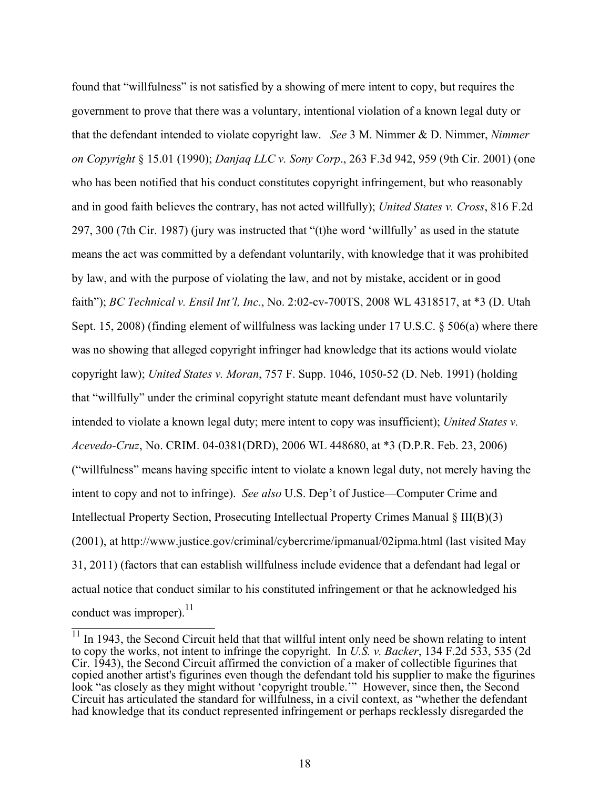found that "willfulness" is not satisfied by a showing of mere intent to copy, but requires the government to prove that there was a voluntary, intentional violation of a known legal duty or that the defendant intended to violate copyright law. *See* 3 M. Nimmer & D. Nimmer, *Nimmer on Copyright* § 15.01 (1990); *Danjaq LLC v. Sony Corp*., 263 F.3d 942, 959 (9th Cir. 2001) (one who has been notified that his conduct constitutes copyright infringement, but who reasonably and in good faith believes the contrary, has not acted willfully); *United States v. Cross*, 816 F.2d 297, 300 (7th Cir. 1987) (jury was instructed that "(t)he word 'willfully' as used in the statute means the act was committed by a defendant voluntarily, with knowledge that it was prohibited by law, and with the purpose of violating the law, and not by mistake, accident or in good faith"); *BC Technical v. Ensil Int'l, Inc.*, No. 2:02-cv-700TS, 2008 WL 4318517, at \*3 (D. Utah Sept. 15, 2008) (finding element of willfulness was lacking under 17 U.S.C. § 506(a) where there was no showing that alleged copyright infringer had knowledge that its actions would violate copyright law); *United States v. Moran*, 757 F. Supp. 1046, 1050-52 (D. Neb. 1991) (holding that "willfully" under the criminal copyright statute meant defendant must have voluntarily intended to violate a known legal duty; mere intent to copy was insufficient); *United States v. Acevedo-Cruz*, No. CRIM. 04-0381(DRD), 2006 WL 448680, at \*3 (D.P.R. Feb. 23, 2006) ("willfulness" means having specific intent to violate a known legal duty, not merely having the intent to copy and not to infringe). *See also* U.S. Dep't of Justice—Computer Crime and Intellectual Property Section, Prosecuting Intellectual Property Crimes Manual § III(B)(3) (2001), at http://www.justice.gov/criminal/cybercrime/ipmanual/02ipma.html (last visited May 31, 2011) (factors that can establish willfulness include evidence that a defendant had legal or actual notice that conduct similar to his constituted infringement or that he acknowledged his conduct was improper). $^{11}$ 

 $11$  In 1943, the Second Circuit held that that willful intent only need be shown relating to intent to copy the works, not intent to infringe the copyright. In *U.S. v. Backer*, 134 F.2d 533, 535 (2d Cir. 1943), the Second Circuit affirmed the conviction of a maker of collectible figurines that copied another artist's figurines even though the defendant told his supplier to make the figurines look "as closely as they might without 'copyright trouble.'" However, since then, the Second Circuit has articulated the standard for willfulness, in a civil context, as "whether the defendant had knowledge that its conduct represented infringement or perhaps recklessly disregarded the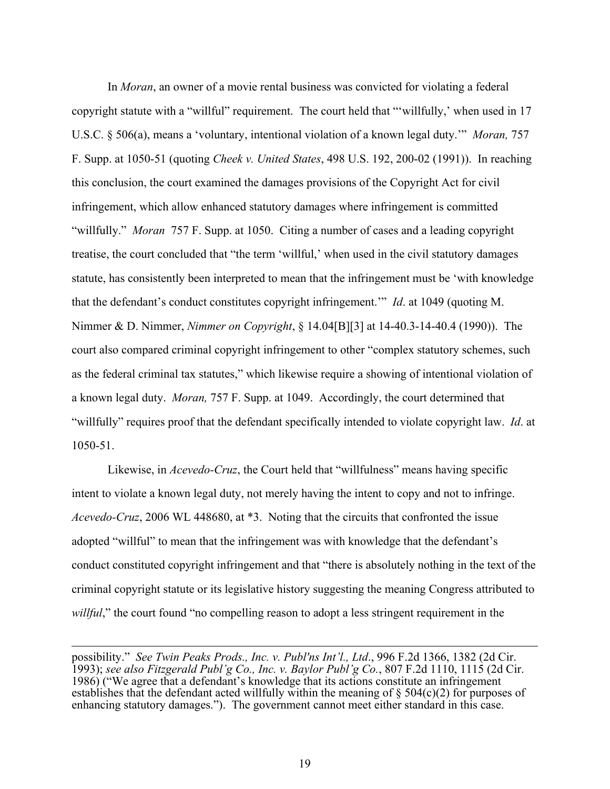In *Moran*, an owner of a movie rental business was convicted for violating a federal copyright statute with a "willful" requirement. The court held that "'willfully,' when used in 17 U.S.C. § 506(a), means a 'voluntary, intentional violation of a known legal duty.'" *Moran,* 757 F. Supp. at 1050-51 (quoting *Cheek v. United States*, 498 U.S. 192, 200-02 (1991)). In reaching this conclusion, the court examined the damages provisions of the Copyright Act for civil infringement, which allow enhanced statutory damages where infringement is committed "willfully." *Moran* 757 F. Supp. at 1050. Citing a number of cases and a leading copyright treatise, the court concluded that "the term 'willful,' when used in the civil statutory damages statute, has consistently been interpreted to mean that the infringement must be 'with knowledge that the defendant's conduct constitutes copyright infringement.'" *Id*. at 1049 (quoting M. Nimmer & D. Nimmer, *Nimmer on Copyright*, § 14.04[B][3] at 14-40.3-14-40.4 (1990)). The court also compared criminal copyright infringement to other "complex statutory schemes, such as the federal criminal tax statutes," which likewise require a showing of intentional violation of a known legal duty. *Moran,* 757 F. Supp. at 1049. Accordingly, the court determined that "willfully" requires proof that the defendant specifically intended to violate copyright law. *Id*. at 1050-51.

Likewise, in *Acevedo-Cruz*, the Court held that "willfulness" means having specific intent to violate a known legal duty, not merely having the intent to copy and not to infringe. *Acevedo-Cruz*, 2006 WL 448680, at \*3. Noting that the circuits that confronted the issue adopted "willful" to mean that the infringement was with knowledge that the defendant's conduct constituted copyright infringement and that "there is absolutely nothing in the text of the criminal copyright statute or its legislative history suggesting the meaning Congress attributed to *willful*," the court found "no compelling reason to adopt a less stringent requirement in the

possibility." *See Twin Peaks Prods., Inc. v. Publ'ns Int'l., Ltd*., 996 F.2d 1366, 1382 (2d Cir. 1993); *see also Fitzgerald Publ'g Co., Inc. v. Baylor Publ'g Co.*, 807 F.2d 1110, 1115 (2d Cir. 1986) ("We agree that a defendant's knowledge that its actions constitute an infringement establishes that the defendant acted willfully within the meaning of  $\S$  504(c)(2) for purposes of enhancing statutory damages."). The government cannot meet either standard in this case.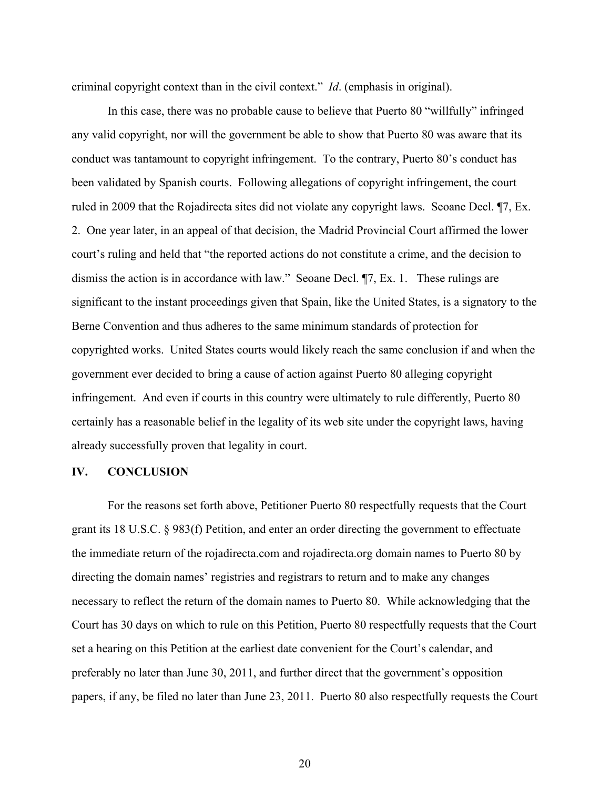criminal copyright context than in the civil context." *Id*. (emphasis in original).

In this case, there was no probable cause to believe that Puerto 80 "willfully" infringed any valid copyright, nor will the government be able to show that Puerto 80 was aware that its conduct was tantamount to copyright infringement. To the contrary, Puerto 80's conduct has been validated by Spanish courts. Following allegations of copyright infringement, the court ruled in 2009 that the Rojadirecta sites did not violate any copyright laws. Seoane Decl. ¶7, Ex. 2. One year later, in an appeal of that decision, the Madrid Provincial Court affirmed the lower court's ruling and held that "the reported actions do not constitute a crime, and the decision to dismiss the action is in accordance with law." Seoane Decl. ¶7, Ex. 1. These rulings are significant to the instant proceedings given that Spain, like the United States, is a signatory to the Berne Convention and thus adheres to the same minimum standards of protection for copyrighted works. United States courts would likely reach the same conclusion if and when the government ever decided to bring a cause of action against Puerto 80 alleging copyright infringement. And even if courts in this country were ultimately to rule differently, Puerto 80 certainly has a reasonable belief in the legality of its web site under the copyright laws, having already successfully proven that legality in court.

# **IV. CONCLUSION**

For the reasons set forth above, Petitioner Puerto 80 respectfully requests that the Court grant its 18 U.S.C. § 983(f) Petition, and enter an order directing the government to effectuate the immediate return of the rojadirecta.com and rojadirecta.org domain names to Puerto 80 by directing the domain names' registries and registrars to return and to make any changes necessary to reflect the return of the domain names to Puerto 80. While acknowledging that the Court has 30 days on which to rule on this Petition, Puerto 80 respectfully requests that the Court set a hearing on this Petition at the earliest date convenient for the Court's calendar, and preferably no later than June 30, 2011, and further direct that the government's opposition papers, if any, be filed no later than June 23, 2011. Puerto 80 also respectfully requests the Court

20